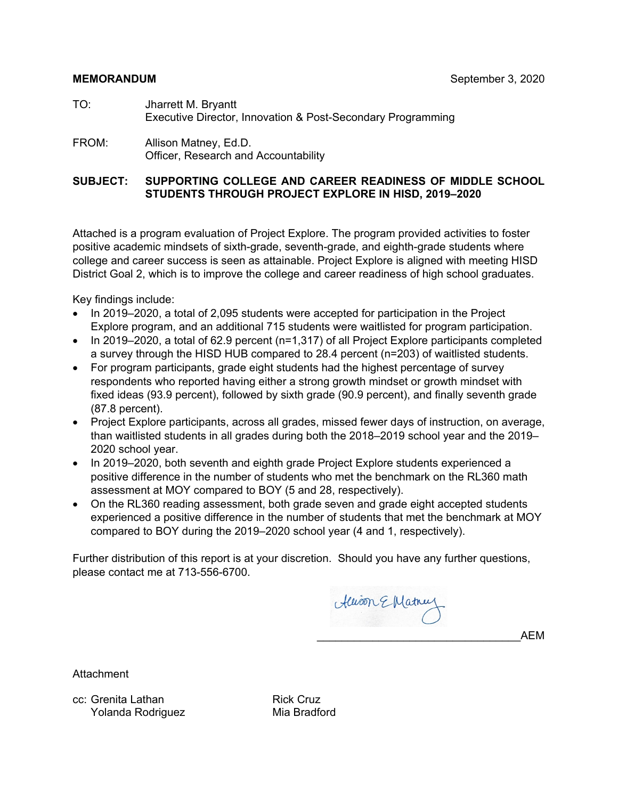#### **MEMORANDUM** September 3, 2020

- TO: Jharrett M. Bryantt Executive Director, Innovation & Post-Secondary Programming
- FROM: Allison Matney, Ed.D. Officer, Research and Accountability

#### **SUBJECT: SUPPORTING COLLEGE AND CAREER READINESS OF MIDDLE SCHOOL STUDENTS THROUGH PROJECT EXPLORE IN HISD, 2019–2020**

Attached is a program evaluation of Project Explore. The program provided activities to foster positive academic mindsets of sixth-grade, seventh-grade, and eighth-grade students where college and career success is seen as attainable. Project Explore is aligned with meeting HISD District Goal 2, which is to improve the college and career readiness of high school graduates.

Key findings include:

- In 2019–2020, a total of 2,095 students were accepted for participation in the Project Explore program, and an additional 715 students were waitlisted for program participation.
- In 2019–2020, a total of 62.9 percent (n=1,317) of all Project Explore participants completed a survey through the HISD HUB compared to 28.4 percent (n=203) of waitlisted students.
- For program participants, grade eight students had the highest percentage of survey respondents who reported having either a strong growth mindset or growth mindset with fixed ideas (93.9 percent), followed by sixth grade (90.9 percent), and finally seventh grade (87.8 percent).
- Project Explore participants, across all grades, missed fewer days of instruction, on average, than waitlisted students in all grades during both the 2018–2019 school year and the 2019– 2020 school year.
- In 2019–2020, both seventh and eighth grade Project Explore students experienced a positive difference in the number of students who met the benchmark on the RL360 math assessment at MOY compared to BOY (5 and 28, respectively).
- On the RL360 reading assessment, both grade seven and grade eight accepted students experienced a positive difference in the number of students that met the benchmark at MOY compared to BOY during the 2019–2020 school year (4 and 1, respectively).

Further distribution of this report is at your discretion. Should you have any further questions, please contact me at 713-556-6700.

Alison E Matnus

\_\_\_\_\_\_\_\_\_\_\_\_\_\_\_\_\_\_\_\_\_\_\_\_\_\_\_\_\_\_\_\_\_AEM

Attachment

cc: Grenita Lathan Rick Cruz Yolanda Rodriguez Mia Bradford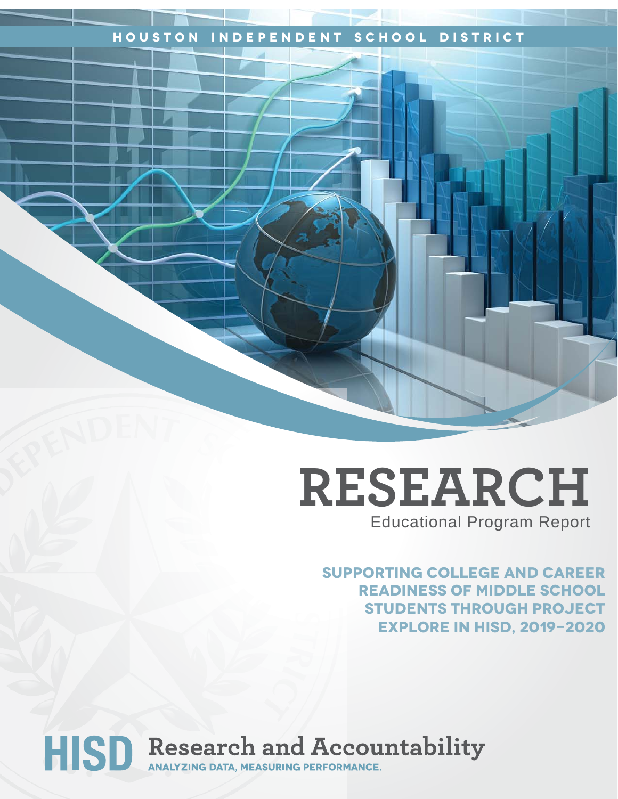### **Houston Independent School District**

## **RESEARCH** Educational Program Report

**sUPPORTING cOLLEGE AND cAREER READINESS OF MIDDLE SCHOOL STUDENTS THROUGH PROJECT EXPLORE IN HISD, 2019-2020**

# HISD Research and Accountability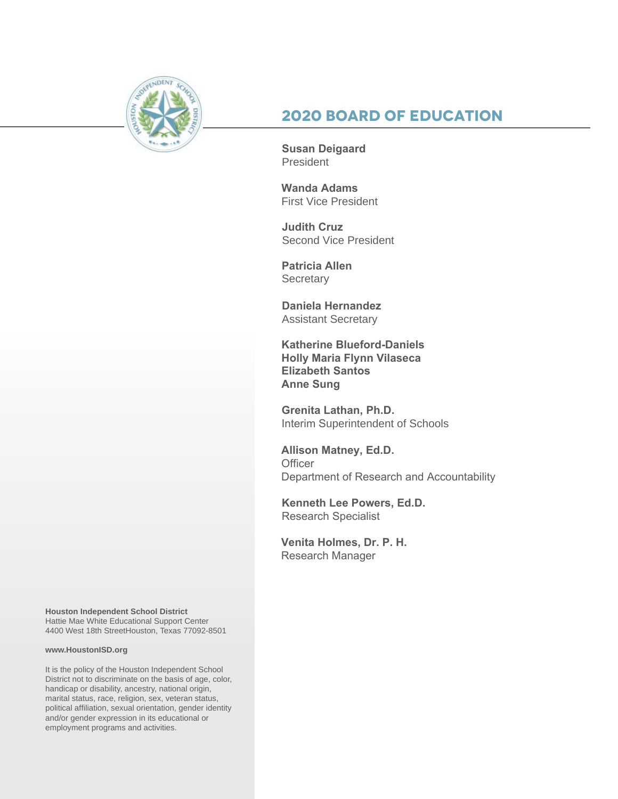

## **2020 Board of Education**

**Susan Deigaard** President

**Wanda Adams** First Vice President

**Judith Cruz**  Second Vice President

**Patricia Allen Secretary** 

**Daniela Hernandez** Assistant Secretary

**Katherine Blueford-Daniels Holly Maria Flynn Vilaseca Elizabeth Santos Anne Sung**

**Grenita Lathan, Ph.D.**  Interim Superintendent of Schools

**Allison Matney, Ed.D. Officer** Department of Research and Accountability

**Kenneth Lee Powers, Ed.D.** Research Specialist

**Venita Holmes, Dr. P. H.**  Research Manager

**Houston Independent School District** Hattie Mae White Educational Support Center 4400 West 18th StreetHouston, Texas 77092-8501

#### **www.HoustonISD.org**

It is the policy of the Houston Independent School District not to discriminate on the basis of age, color, handicap or disability, ancestry, national origin, marital status, race, religion, sex, veteran status, political affiliation, sexual orientation, gender identity and/or gender expression in its educational or employment programs and activities.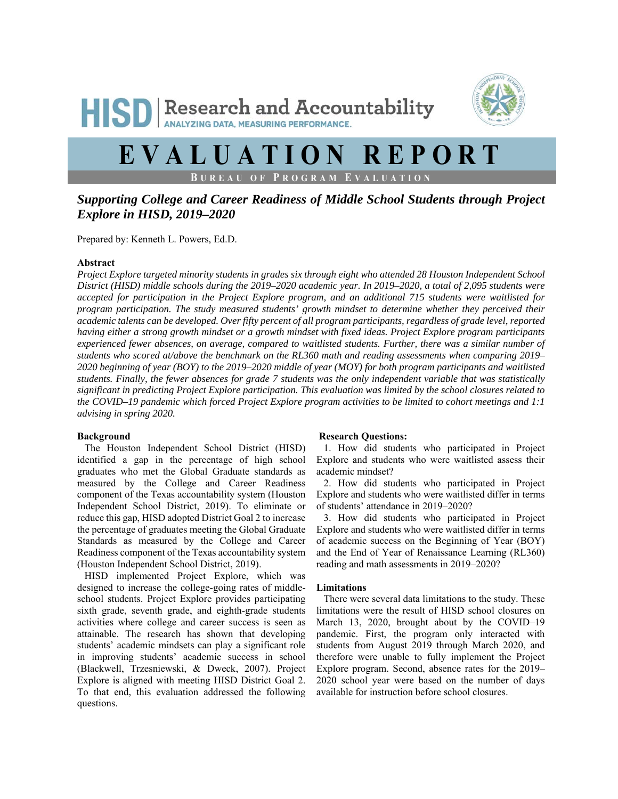## **HISD** Research and Accountability ANALYZING DATA, MEASURING PERFORMANCE.



## **EVALUATION REPORT**

**B UREAU OF P ROGRAM E VALUATION**

### *Supporting College and Career Readiness of Middle School Students through Project Explore in HISD, 2019–2020*

Prepared by: Kenneth L. Powers, Ed.D.

#### **Abstract**

*Project Explore targeted minority students in grades six through eight who attended 28 Houston Independent School District (HISD) middle schools during the 2019–2020 academic year. In 2019–2020, a total of 2,095 students were accepted for participation in the Project Explore program, and an additional 715 students were waitlisted for program participation. The study measured students' growth mindset to determine whether they perceived their academic talents can be developed. Over fifty percent of all program participants, regardless of grade level, reported having either a strong growth mindset or a growth mindset with fixed ideas. Project Explore program participants experienced fewer absences, on average, compared to waitlisted students. Further, there was a similar number of students who scored at/above the benchmark on the RL360 math and reading assessments when comparing 2019– 2020 beginning of year (BOY) to the 2019–2020 middle of year (MOY) for both program participants and waitlisted students. Finally, the fewer absences for grade 7 students was the only independent variable that was statistically significant in predicting Project Explore participation. This evaluation was limited by the school closures related to the COVID–19 pandemic which forced Project Explore program activities to be limited to cohort meetings and 1:1 advising in spring 2020.* 

#### **Background**

The Houston Independent School District (HISD) identified a gap in the percentage of high school graduates who met the Global Graduate standards as measured by the College and Career Readiness component of the Texas accountability system (Houston Independent School District, 2019). To eliminate or reduce this gap, HISD adopted District Goal 2 to increase the percentage of graduates meeting the Global Graduate Standards as measured by the College and Career Readiness component of the Texas accountability system (Houston Independent School District, 2019).

HISD implemented Project Explore, which was designed to increase the college-going rates of middleschool students. Project Explore provides participating sixth grade, seventh grade, and eighth-grade students activities where college and career success is seen as attainable. The research has shown that developing students' academic mindsets can play a significant role in improving students' academic success in school (Blackwell, Trzesniewski, & Dweck, 2007). Project Explore is aligned with meeting HISD District Goal 2. To that end, this evaluation addressed the following questions.

#### **Research Questions:**

1. How did students who participated in Project Explore and students who were waitlisted assess their academic mindset?

2. How did students who participated in Project Explore and students who were waitlisted differ in terms of students' attendance in 2019–2020?

3. How did students who participated in Project Explore and students who were waitlisted differ in terms of academic success on the Beginning of Year (BOY) and the End of Year of Renaissance Learning (RL360) reading and math assessments in 2019–2020?

#### **Limitations**

There were several data limitations to the study. These limitations were the result of HISD school closures on March 13, 2020, brought about by the COVID–19 pandemic. First, the program only interacted with students from August 2019 through March 2020, and therefore were unable to fully implement the Project Explore program. Second, absence rates for the 2019– 2020 school year were based on the number of days available for instruction before school closures.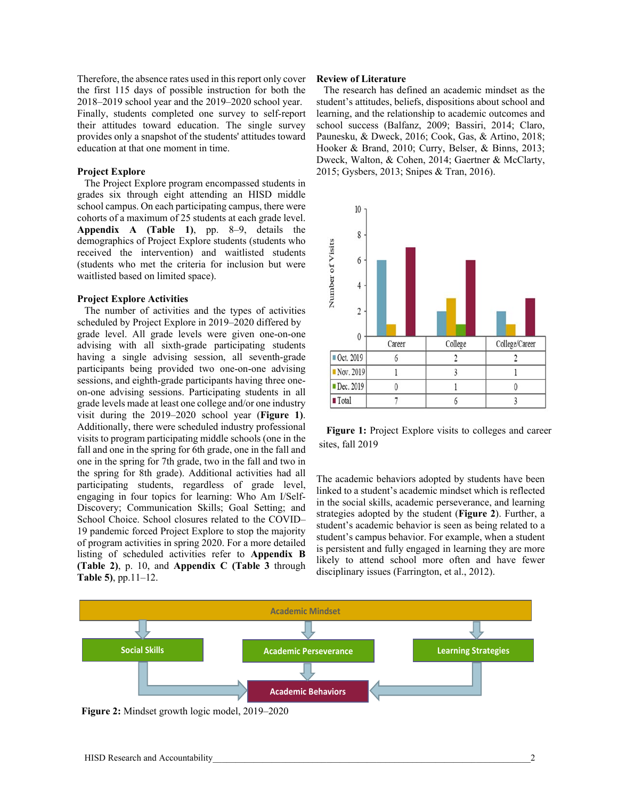Therefore, the absence rates used in this report only cover the first 115 days of possible instruction for both the 2018–2019 school year and the 2019–2020 school year. Finally, students completed one survey to self-report their attitudes toward education. The single survey provides only a snapshot of the students' attitudes toward education at that one moment in time.

#### **Project Explore**

The Project Explore program encompassed students in grades six through eight attending an HISD middle school campus. On each participating campus, there were cohorts of a maximum of 25 students at each grade level. **Appendix A (Table 1)**, pp. 8–9, details the demographics of Project Explore students (students who received the intervention) and waitlisted students (students who met the criteria for inclusion but were waitlisted based on limited space).

#### **Project Explore Activities**

The number of activities and the types of activities scheduled by Project Explore in 2019–2020 differed by grade level. All grade levels were given one-on-one advising with all sixth-grade participating students having a single advising session, all seventh-grade participants being provided two one-on-one advising sessions, and eighth-grade participants having three oneon-one advising sessions. Participating students in all grade levels made at least one college and/or one industry visit during the 2019–2020 school year (**Figure 1)**. Additionally, there were scheduled industry professional visits to program participating middle schools (one in the fall and one in the spring for 6th grade, one in the fall and one in the spring for 7th grade, two in the fall and two in the spring for 8th grade). Additional activities had all participating students, regardless of grade level, engaging in four topics for learning: Who Am I/Self-Discovery; Communication Skills; Goal Setting; and School Choice. School closures related to the COVID– 19 pandemic forced Project Explore to stop the majority of program activities in spring 2020. For a more detailed listing of scheduled activities refer to **Appendix B (Table 2)**, p. 10, and **Appendix C (Table 3** through **Table 5)**, pp.11–12.

#### **Review of Literature**

The research has defined an academic mindset as the student's attitudes, beliefs, dispositions about school and learning, and the relationship to academic outcomes and school success (Balfanz, 2009; Bassiri, 2014; Claro, Paunesku, & Dweck, 2016; Cook, Gas, & Artino, 2018; Hooker & Brand, 2010; Curry, Belser, & Binns, 2013; Dweck, Walton, & Cohen, 2014; Gaertner & McClarty, 2015; Gysbers, 2013; Snipes & Tran, 2016).



**Figure 1:** Project Explore visits to colleges and career sites, fall 2019

The academic behaviors adopted by students have been linked to a student's academic mindset which is reflected in the social skills, academic perseverance, and learning strategies adopted by the student (**Figure 2**). Further, a student's academic behavior is seen as being related to a student's campus behavior. For example, when a student is persistent and fully engaged in learning they are more likely to attend school more often and have fewer disciplinary issues (Farrington, et al., 2012).



**Figure 2:** Mindset growth logic model, 2019–2020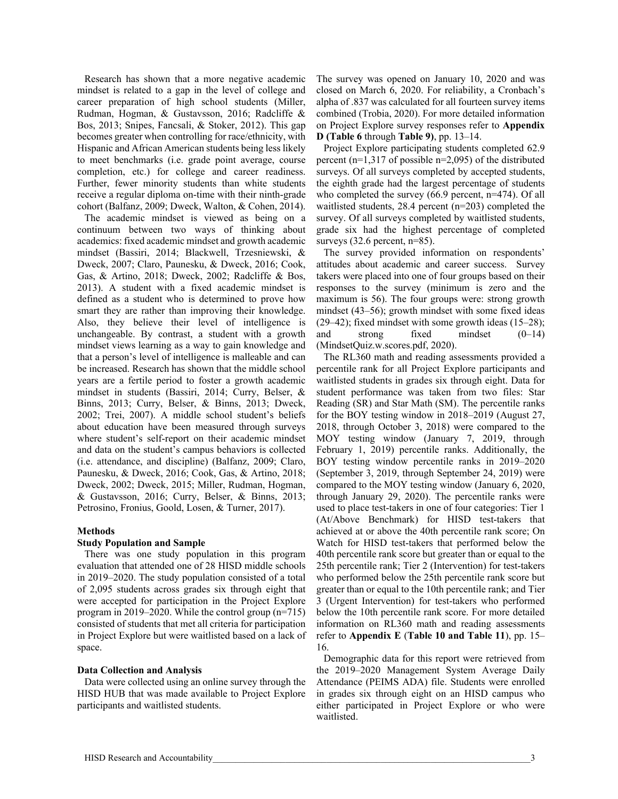Research has shown that a more negative academic mindset is related to a gap in the level of college and career preparation of high school students (Miller, Rudman, Hogman, & Gustavsson, 2016; Radcliffe & Bos, 2013; Snipes, Fancsali, & Stoker, 2012). This gap becomes greater when controlling for race/ethnicity, with Hispanic and African American students being less likely to meet benchmarks (i.e. grade point average, course completion, etc.) for college and career readiness. Further, fewer minority students than white students receive a regular diploma on-time with their ninth-grade cohort (Balfanz, 2009; Dweck, Walton, & Cohen, 2014).

The academic mindset is viewed as being on a continuum between two ways of thinking about academics: fixed academic mindset and growth academic mindset (Bassiri, 2014; Blackwell, Trzesniewski, & Dweck, 2007; Claro, Paunesku, & Dweck, 2016; Cook, Gas, & Artino, 2018; Dweck, 2002; Radcliffe & Bos, 2013). A student with a fixed academic mindset is defined as a student who is determined to prove how smart they are rather than improving their knowledge. Also, they believe their level of intelligence is unchangeable. By contrast, a student with a growth mindset views learning as a way to gain knowledge and that a person's level of intelligence is malleable and can be increased. Research has shown that the middle school years are a fertile period to foster a growth academic mindset in students (Bassiri, 2014; Curry, Belser, & Binns, 2013; Curry, Belser, & Binns, 2013; Dweck, 2002; Trei, 2007). A middle school student's beliefs about education have been measured through surveys where student's self-report on their academic mindset and data on the student's campus behaviors is collected (i.e. attendance, and discipline) (Balfanz, 2009; Claro, Paunesku, & Dweck, 2016; Cook, Gas, & Artino, 2018; Dweck, 2002; Dweck, 2015; Miller, Rudman, Hogman, & Gustavsson, 2016; Curry, Belser, & Binns, 2013; Petrosino, Fronius, Goold, Losen, & Turner, 2017).

#### **Methods**

#### **Study Population and Sample**

There was one study population in this program evaluation that attended one of 28 HISD middle schools in 2019–2020. The study population consisted of a total of 2,095 students across grades six through eight that were accepted for participation in the Project Explore program in 2019–2020. While the control group (n=715) consisted of students that met all criteria for participation in Project Explore but were waitlisted based on a lack of space.

#### **Data Collection and Analysis**

Data were collected using an online survey through the HISD HUB that was made available to Project Explore participants and waitlisted students.

The survey was opened on January 10, 2020 and was closed on March 6, 2020. For reliability, a Cronbach's alpha of .837 was calculated for all fourteen survey items combined (Trobia, 2020). For more detailed information on Project Explore survey responses refer to **Appendix D (Table 6** through **Table 9)**, pp. 13–14.

Project Explore participating students completed 62.9 percent ( $n=1,317$  of possible  $n=2,095$ ) of the distributed surveys. Of all surveys completed by accepted students, the eighth grade had the largest percentage of students who completed the survey (66.9 percent, n=474). Of all waitlisted students, 28.4 percent (n=203) completed the survey. Of all surveys completed by waitlisted students, grade six had the highest percentage of completed surveys  $(32.6 \text{ percent}, n=85)$ .

The survey provided information on respondents' attitudes about academic and career success. Survey takers were placed into one of four groups based on their responses to the survey (minimum is zero and the maximum is 56). The four groups were: strong growth mindset (43–56); growth mindset with some fixed ideas (29–42); fixed mindset with some growth ideas (15–28); and strong fixed mindset (0–14) (MindsetQuiz.w.scores.pdf, 2020).

The RL360 math and reading assessments provided a percentile rank for all Project Explore participants and waitlisted students in grades six through eight. Data for student performance was taken from two files: Star Reading (SR) and Star Math (SM). The percentile ranks for the BOY testing window in 2018–2019 (August 27, 2018, through October 3, 2018) were compared to the MOY testing window (January 7, 2019, through February 1, 2019) percentile ranks. Additionally, the BOY testing window percentile ranks in 2019–2020 (September 3, 2019, through September 24, 2019) were compared to the MOY testing window (January 6, 2020, through January 29, 2020). The percentile ranks were used to place test-takers in one of four categories: Tier 1 (At/Above Benchmark) for HISD test-takers that achieved at or above the 40th percentile rank score; On Watch for HISD test-takers that performed below the 40th percentile rank score but greater than or equal to the 25th percentile rank; Tier 2 (Intervention) for test-takers who performed below the 25th percentile rank score but greater than or equal to the 10th percentile rank; and Tier 3 (Urgent Intervention) for test-takers who performed below the 10th percentile rank score. For more detailed information on RL360 math and reading assessments refer to **Appendix E** (**Table 10 and Table 11**), pp. 15– 16.

Demographic data for this report were retrieved from the 2019–2020 Management System Average Daily Attendance (PEIMS ADA) file. Students were enrolled in grades six through eight on an HISD campus who either participated in Project Explore or who were waitlisted.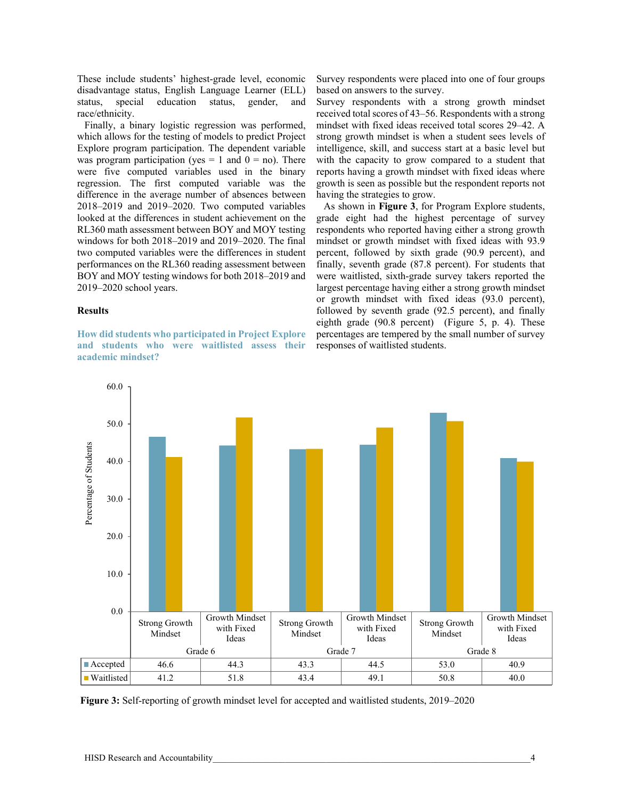These include students' highest-grade level, economic disadvantage status, English Language Learner (ELL) status, special education status, gender, and race/ethnicity.

Finally, a binary logistic regression was performed, which allows for the testing of models to predict Project Explore program participation. The dependent variable was program participation (yes = 1 and  $0 =$  no). There were five computed variables used in the binary regression. The first computed variable was the difference in the average number of absences between 2018–2019 and 2019–2020. Two computed variables looked at the differences in student achievement on the RL360 math assessment between BOY and MOY testing windows for both 2018–2019 and 2019–2020. The final two computed variables were the differences in student performances on the RL360 reading assessment between BOY and MOY testing windows for both 2018–2019 and 2019–2020 school years.

#### **Results**

**How did students who participated in Project Explore and students who were waitlisted assess their academic mindset?** 

Survey respondents were placed into one of four groups based on answers to the survey.

Survey respondents with a strong growth mindset received total scores of 43–56. Respondents with a strong mindset with fixed ideas received total scores 29–42. A strong growth mindset is when a student sees levels of intelligence, skill, and success start at a basic level but with the capacity to grow compared to a student that reports having a growth mindset with fixed ideas where growth is seen as possible but the respondent reports not having the strategies to grow.

As shown in **Figure 3**, for Program Explore students, grade eight had the highest percentage of survey respondents who reported having either a strong growth mindset or growth mindset with fixed ideas with 93.9 percent, followed by sixth grade (90.9 percent), and finally, seventh grade (87.8 percent). For students that were waitlisted, sixth-grade survey takers reported the largest percentage having either a strong growth mindset or growth mindset with fixed ideas (93.0 percent), followed by seventh grade (92.5 percent), and finally eighth grade (90.8 percent) (Figure 5, p. 4). These percentages are tempered by the small number of survey responses of waitlisted students.



**Figure 3:** Self-reporting of growth mindset level for accepted and waitlisted students, 2019–2020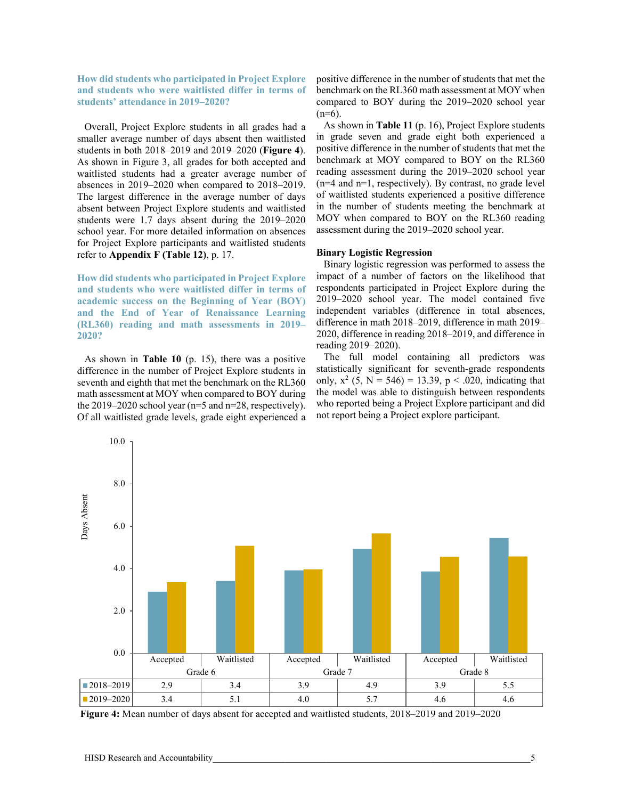**How did students who participated in Project Explore and students who were waitlisted differ in terms of students' attendance in 2019–2020?** 

Overall, Project Explore students in all grades had a smaller average number of days absent then waitlisted students in both 2018–2019 and 2019–2020 (**Figure 4**). As shown in Figure 3, all grades for both accepted and waitlisted students had a greater average number of absences in 2019–2020 when compared to 2018–2019. The largest difference in the average number of days absent between Project Explore students and waitlisted students were 1.7 days absent during the 2019–2020 school year. For more detailed information on absences for Project Explore participants and waitlisted students refer to **Appendix F (Table 12)**, p. 17.

**How did students who participated in Project Explore and students who were waitlisted differ in terms of academic success on the Beginning of Year (BOY) and the End of Year of Renaissance Learning (RL360) reading and math assessments in 2019– 2020?** 

As shown in **Table 10** (p. 15), there was a positive difference in the number of Project Explore students in seventh and eighth that met the benchmark on the RL360 math assessment at MOY when compared to BOY during the 2019–2020 school year (n=5 and n=28, respectively). Of all waitlisted grade levels, grade eight experienced a positive difference in the number of students that met the benchmark on the RL360 math assessment at MOY when compared to BOY during the 2019–2020 school year  $(n=6)$ .

As shown in **Table 11** (p. 16), Project Explore students in grade seven and grade eight both experienced a positive difference in the number of students that met the benchmark at MOY compared to BOY on the RL360 reading assessment during the 2019–2020 school year (n=4 and n=1, respectively). By contrast, no grade level of waitlisted students experienced a positive difference in the number of students meeting the benchmark at MOY when compared to BOY on the RL360 reading assessment during the 2019–2020 school year.

#### **Binary Logistic Regression**

Binary logistic regression was performed to assess the impact of a number of factors on the likelihood that respondents participated in Project Explore during the 2019–2020 school year. The model contained five independent variables (difference in total absences, difference in math 2018–2019, difference in math 2019– 2020, difference in reading 2018–2019, and difference in reading 2019–2020).

The full model containing all predictors was statistically significant for seventh-grade respondents only,  $x^2$  (5, N = 546) = 13.39, p < .020, indicating that the model was able to distinguish between respondents who reported being a Project Explore participant and did not report being a Project explore participant.



**Figure 4:** Mean number of days absent for accepted and waitlisted students, 2018–2019 and 2019–2020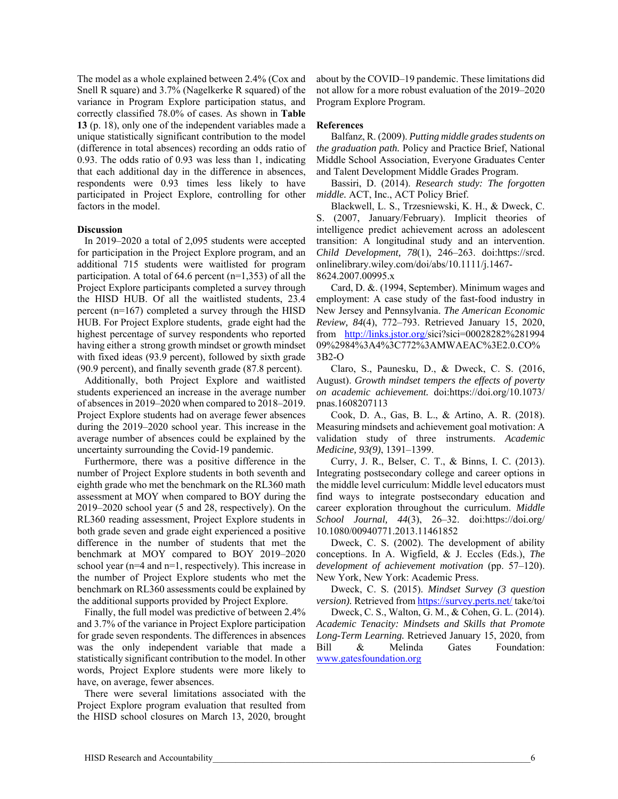The model as a whole explained between 2.4% (Cox and Snell R square) and 3.7% (Nagelkerke R squared) of the variance in Program Explore participation status, and correctly classified 78.0% of cases. As shown in **Table 13** (p. 18), only one of the independent variables made a unique statistically significant contribution to the model (difference in total absences) recording an odds ratio of 0.93. The odds ratio of 0.93 was less than 1, indicating that each additional day in the difference in absences, respondents were 0.93 times less likely to have participated in Project Explore, controlling for other factors in the model.

#### **Discussion**

In 2019–2020 a total of 2,095 students were accepted for participation in the Project Explore program, and an additional 715 students were waitlisted for program participation. A total of 64.6 percent  $(n=1,353)$  of all the Project Explore participants completed a survey through the HISD HUB. Of all the waitlisted students, 23.4 percent (n=167) completed a survey through the HISD HUB. For Project Explore students, grade eight had the highest percentage of survey respondents who reported having either a strong growth mindset or growth mindset with fixed ideas (93.9 percent), followed by sixth grade (90.9 percent), and finally seventh grade (87.8 percent).

Additionally, both Project Explore and waitlisted students experienced an increase in the average number of absences in 2019–2020 when compared to 2018–2019. Project Explore students had on average fewer absences during the 2019–2020 school year. This increase in the average number of absences could be explained by the uncertainty surrounding the Covid-19 pandemic.

Furthermore, there was a positive difference in the number of Project Explore students in both seventh and eighth grade who met the benchmark on the RL360 math assessment at MOY when compared to BOY during the 2019–2020 school year (5 and 28, respectively). On the RL360 reading assessment, Project Explore students in both grade seven and grade eight experienced a positive difference in the number of students that met the benchmark at MOY compared to BOY 2019–2020 school year (n=4 and n=1, respectively). This increase in the number of Project Explore students who met the benchmark on RL360 assessments could be explained by the additional supports provided by Project Explore.

Finally, the full model was predictive of between 2.4% and 3.7% of the variance in Project Explore participation for grade seven respondents. The differences in absences was the only independent variable that made a statistically significant contribution to the model. In other words, Project Explore students were more likely to have, on average, fewer absences.

There were several limitations associated with the Project Explore program evaluation that resulted from the HISD school closures on March 13, 2020, brought about by the COVID–19 pandemic. These limitations did not allow for a more robust evaluation of the 2019–2020 Program Explore Program.

#### **References**

Balfanz, R. (2009). *Putting middle grades students on the graduation path.* Policy and Practice Brief, National Middle School Association, Everyone Graduates Center and Talent Development Middle Grades Program.

Bassiri, D. (2014). *Research study: The forgotten middle.* ACT, Inc., ACT Policy Brief.

Blackwell, L. S., Trzesniewski, K. H., & Dweck, C. S. (2007, January/February). Implicit theories of intelligence predict achievement across an adolescent transition: A longitudinal study and an intervention. *Child Development, 78*(1), 246–263. doi:https://srcd. onlinelibrary.wiley.com/doi/abs/10.1111/j.1467- 8624.2007.00995.x

Card, D. &. (1994, September). Minimum wages and employment: A case study of the fast-food industry in New Jersey and Pennsylvania. *The American Economic Review, 84*(4), 772–793. Retrieved January 15, 2020, from http://links.jstor.org/sici?sici=00028282%281994 09%2984%3A4%3C772%3AMWAEAC%3E2.0.CO% 3B2-O

Claro, S., Paunesku, D., & Dweck, C. S. (2016, August). *Growth mindset tempers the effects of poverty on academic achievement.* doi:https://doi.org/10.1073/ pnas.1608207113

Cook, D. A., Gas, B. L., & Artino, A. R. (2018). Measuring mindsets and achievement goal motivation: A validation study of three instruments. *Academic Medicine, 93(9)*, 1391–1399.

Curry, J. R., Belser, C. T., & Binns, I. C. (2013). Integrating postsecondary college and career options in the middle level curriculum: Middle level educators must find ways to integrate postsecondary education and career exploration throughout the curriculum. *Middle School Journal, 44*(3), 26–32. doi:https://doi.org/ 10.1080/00940771.2013.11461852

Dweck, C. S. (2002). The development of ability conceptions. In A. Wigfield, & J. Eccles (Eds.), *The development of achievement motivation* (pp. 57–120). New York, New York: Academic Press.

Dweck, C. S. (2015). *Mindset Survey (3 question version*). Retrieved from https://survey.perts.net/ take/toi

Dweck, C. S., Walton, G. M., & Cohen, G. L. (2014). *Academic Tenacity: Mindsets and Skills that Promote Long-Term Learning.* Retrieved January 15, 2020, from Bill & Melinda Gates Foundation: www.gatesfoundation.org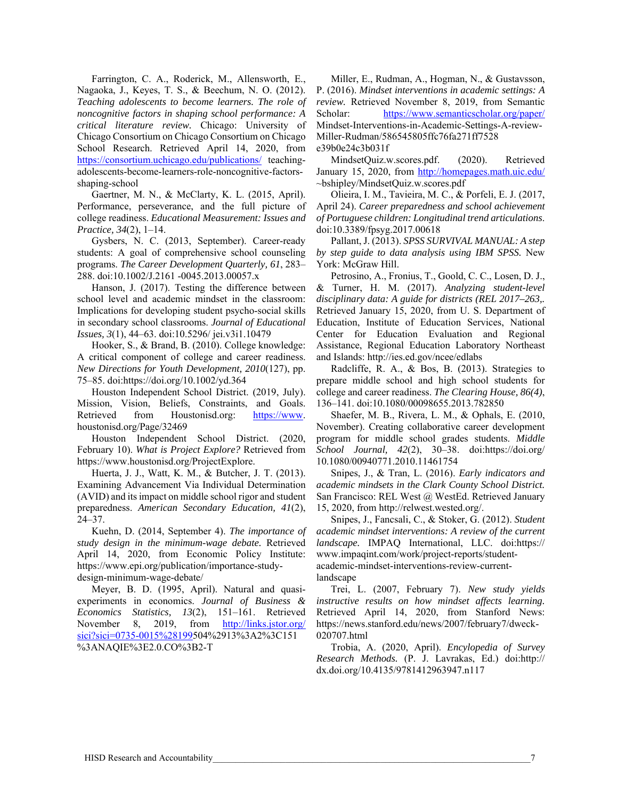Farrington, C. A., Roderick, M., Allensworth, E., Nagaoka, J., Keyes, T. S., & Beechum, N. O. (2012). *Teaching adolescents to become learners. The role of noncognitive factors in shaping school performance: A critical literature review.* Chicago: University of Chicago Consortium on Chicago Consortium on Chicago School Research. Retrieved April 14, 2020, from https://consortium.uchicago.edu/publications/ teachingadolescents-become-learners-role-noncognitive-factorsshaping-school

Gaertner, M. N., & McClarty, K. L. (2015, April). Performance, perseverance, and the full picture of college readiness. *Educational Measurement: Issues and Practice, 34*(2), 1–14.

Gysbers, N. C. (2013, September). Career-ready students: A goal of comprehensive school counseling programs. *The Career Development Quarterly, 61*, 283– 288. doi:10.1002/J.2161 -0045.2013.00057.x

Hanson, J. (2017). Testing the difference between school level and academic mindset in the classroom: Implications for developing student psycho-social skills in secondary school classrooms. *Journal of Educational Issues, 3*(1), 44–63. doi:10.5296/ jei.v3i1.10479

Hooker, S., & Brand, B. (2010). College knowledge: A critical component of college and career readiness. *New Directions for Youth Development, 2010*(127), pp. 75–85. doi:https://doi.org/10.1002/yd.364

Houston Independent School District. (2019, July). Mission, Vision, Beliefs, Constraints, and Goals. Retrieved from Houstonisd.org: https://www. houstonisd.org/Page/32469

Houston Independent School District. (2020, February 10). *What is Project Explore?* Retrieved from https://www.houstonisd.org/ProjectExplore.

Huerta, J. J., Watt, K. M., & Butcher, J. T. (2013). Examining Advancement Via Individual Determination (AVID) and its impact on middle school rigor and student preparedness. *American Secondary Education, 41*(2), 24–37.

Kuehn, D. (2014, September 4). *The importance of study design in the minimum-wage debate.* Retrieved April 14, 2020, from Economic Policy Institute: https://www.epi.org/publication/importance-studydesign-minimum-wage-debate/

Meyer, B. D. (1995, April). Natural and quasiexperiments in economics. *Journal of Business & Economics Statistics, 13*(2), 151–161. Retrieved November 8, 2019, from http://links.jstor.org/ sici?sici=0735-0015%28199504%2913%3A2%3C151 %3ANAQIE%3E2.0.CO%3B2-T

Miller, E., Rudman, A., Hogman, N., & Gustavsson, P. (2016). *Mindset interventions in academic settings: A review.* Retrieved November 8, 2019, from Semantic Scholar: https://www.semanticscholar.org/paper/ Mindset-Interventions-in-Academic-Settings-A-review-Miller-Rudman/586545805ffc76fa271ff7528 e39b0e24c3b031f

MindsetQuiz.w.scores.pdf. (2020). Retrieved January 15, 2020, from http://homepages.math.uic.edu/ ~bshipley/MindsetQuiz.w.scores.pdf

Olieira, I. M., Tavieira, M. C., & Porfeli, E. J. (2017, April 24). *Career preparedness and school achievement of Portuguese children: Longitudinal trend articulations*. doi:10.3389/fpsyg.2017.00618

Pallant, J. (2013). *SPSS SURVIVAL MANUAL: A step by step guide to data analysis using IBM SPSS.* New York: McGraw Hill.

Petrosino, A., Fronius, T., Goold, C. C., Losen, D. J., & Turner, H. M. (2017). *Analyzing student-level disciplinary data: A guide for districts (REL 2017–263,.* Retrieved January 15, 2020, from U. S. Department of Education, Institute of Education Services, National Center for Education Evaluation and Regional Assistance, Regional Education Laboratory Northeast and Islands: http://ies.ed.gov/ncee/edlabs

Radcliffe, R. A., & Bos, B. (2013). Strategies to prepare middle school and high school students for college and career readiness. *The Clearing House, 86(4)*, 136–141. doi:10.1080/00098655.2013.782850

Shaefer, M. B., Rivera, L. M., & Ophals, E. (2010, November). Creating collaborative career development program for middle school grades students. *Middle School Journal, 42*(2), 30–38. doi:https://doi.org/ 10.1080/00940771.2010.11461754

Snipes, J., & Tran, L. (2016). *Early indicators and academic mindsets in the Clark County School District.* San Francisco: REL West @ WestEd. Retrieved January 15, 2020, from http://relwest.wested.org/.

Snipes, J., Fancsali, C., & Stoker, G. (2012). *Student academic mindset interventions: A review of the current landscape.* IMPAQ International, LLC. doi:https:// www.impaqint.com/work/project-reports/studentacademic-mindset-interventions-review-currentlandscape

Trei, L. (2007, February 7). *New study yields instructive results on how mindset affects learning.* Retrieved April 14, 2020, from Stanford News: https://news.stanford.edu/news/2007/february7/dweck-020707.html

Trobia, A. (2020, April). *Encylopedia of Survey Research Methods.* (P. J. Lavrakas, Ed.) doi:http:// dx.doi.org/10.4135/9781412963947.n117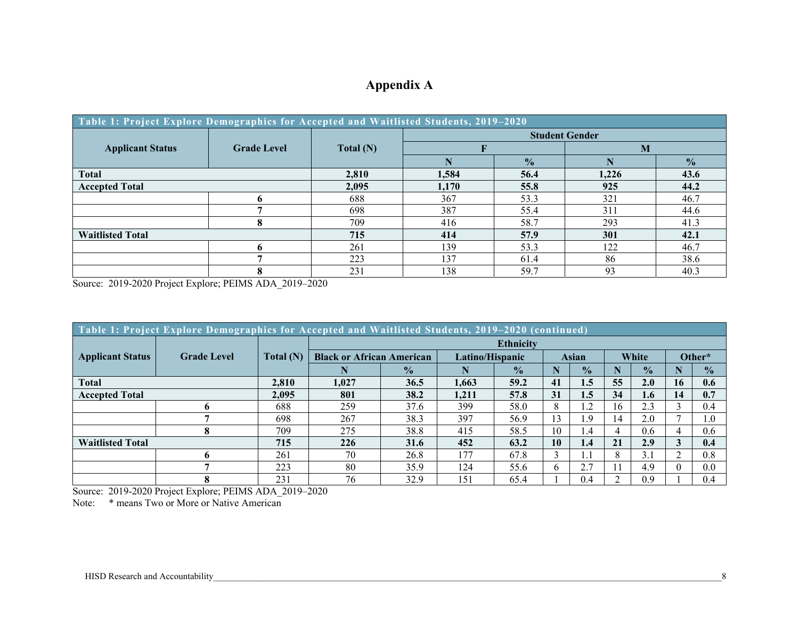### **Appendix A**

| Table 1: Project Explore Demographics for Accepted and Waitlisted Students, 2019-2020 |                    |           |                       |               |      |               |  |  |  |
|---------------------------------------------------------------------------------------|--------------------|-----------|-----------------------|---------------|------|---------------|--|--|--|
|                                                                                       |                    |           | <b>Student Gender</b> |               |      |               |  |  |  |
| <b>Applicant Status</b>                                                               | <b>Grade Level</b> | Total (N) |                       |               | M    |               |  |  |  |
|                                                                                       |                    |           |                       | $\frac{1}{2}$ |      | $\frac{0}{2}$ |  |  |  |
| <b>Total</b>                                                                          | 2,810              | 1,584     | 56.4                  | 1,226         | 43.6 |               |  |  |  |
| <b>Accepted Total</b>                                                                 |                    | 2,095     | 1,170                 | 55.8          | 925  | 44.2          |  |  |  |
|                                                                                       |                    | 688       | 367                   | 53.3          | 321  | 46.7          |  |  |  |
|                                                                                       |                    | 698       | 387                   | 55.4          | 311  | 44.6          |  |  |  |
|                                                                                       |                    | 709       | 416                   | 58.7          | 293  | 41.3          |  |  |  |
| <b>Waitlisted Total</b>                                                               |                    | 715       | 414                   | 57.9          | 301  | 42.1          |  |  |  |
|                                                                                       |                    | 261       | 139                   | 53.3          | 122  | 46.7          |  |  |  |
|                                                                                       |                    | 223       | 137                   | 61.4          | 86   | 38.6          |  |  |  |
|                                                                                       |                    | 231       | 138                   | 59.7          | 93   | 40.3          |  |  |  |

Source: 2019-2020 Project Explore; PEIMS ADA\_2019–2020

| Table 1: Project Explore Demographics for Accepted and Waitlisted Students, 2019-2020 (continued) |                    |             |                                  |               |                 |                  |              |               |       |               |        |               |
|---------------------------------------------------------------------------------------------------|--------------------|-------------|----------------------------------|---------------|-----------------|------------------|--------------|---------------|-------|---------------|--------|---------------|
|                                                                                                   |                    |             |                                  |               |                 | <b>Ethnicity</b> |              |               |       |               |        |               |
| <b>Applicant Status</b>                                                                           | <b>Grade Level</b> | Total $(N)$ | <b>Black or African American</b> |               | Latino/Hispanic |                  | <b>Asian</b> |               | White |               | Other* |               |
|                                                                                                   |                    |             | N                                | $\frac{1}{2}$ |                 | $\frac{0}{2}$    |              | $\frac{1}{2}$ | N     | $\frac{1}{2}$ |        | $\frac{0}{0}$ |
| <b>Total</b>                                                                                      |                    | 2,810       | 1.027                            | 36.5          | 1.663           | 59.2             | 41           | 1.5           | 55    | 2.0           | 16     | 0.6           |
| <b>Accepted Total</b>                                                                             |                    | 2.095       | 801                              | 38.2          | 1.211           | 57.8             | 31           | 1.5           | 34    | 1.6           | 14     | 0.7           |
|                                                                                                   |                    | 688         | 259                              | 37.6          | 399             | 58.0             | 8            | 1.2           | 16    | 2.3           |        | 0.4           |
|                                                                                                   |                    | 698         | 267                              | 38.3          | 397             | 56.9             | 13           | 1.9           | 14    | 2.0           |        | 1.0           |
|                                                                                                   | Л                  | 709         | 275                              | 38.8          | 415             | 58.5             | 10           | 1.4           | 4     | 0.6           | 4      | 0.6           |
| <b>Waitlisted Total</b>                                                                           |                    | 715         | 226                              | 31.6          | 452             | 63.2             | 10           | 1.4           | 21    | 2.9           |        | 0.4           |
|                                                                                                   |                    | 261         | 70                               | 26.8          | 177             | 67.8             |              | <b>I</b> .I   | 8     | 3.1           |        | 0.8           |
|                                                                                                   |                    | 223         | 80                               | 35.9          | 124             | 55.6             | 6            | 2.7           |       | 4.9           |        | 0.0           |
|                                                                                                   |                    | 231         | 76                               | 32.9          | 151             | 65.4             |              | 0.4           |       | 0.9           |        | 0.4           |

Source: 2019-2020 Project Explore; PEIMS ADA\_2019–2020

Note: \* means Two or More or Native American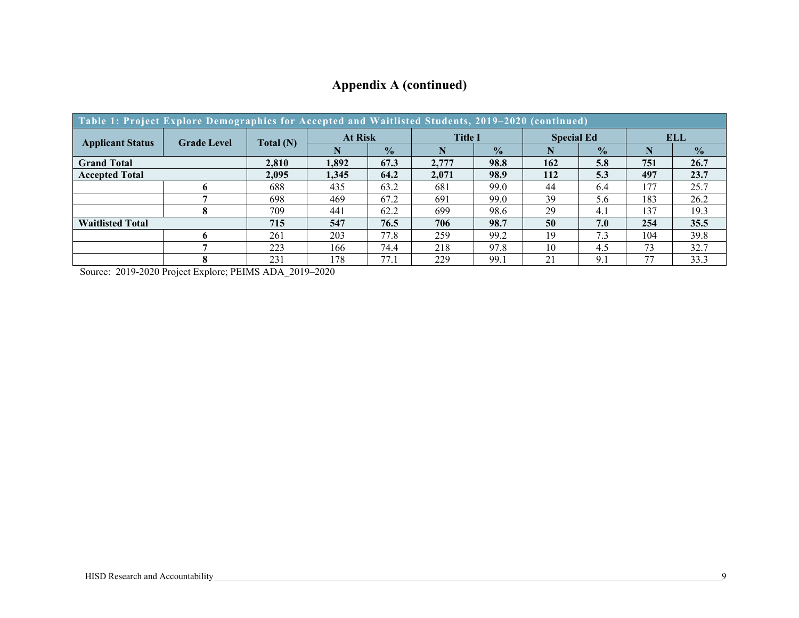| Table 1: Project Explore Demographics for Accepted and Waitlisted Students, 2019-2020 (continued) |                    |                                  |       |                   |       |               |     |               |     |               |
|---------------------------------------------------------------------------------------------------|--------------------|----------------------------------|-------|-------------------|-------|---------------|-----|---------------|-----|---------------|
| <b>Applicant Status</b>                                                                           | <b>Grade Level</b> | <b>At Risk</b><br><b>Title I</b> |       | <b>Special Ed</b> |       | <b>ELL</b>    |     |               |     |               |
|                                                                                                   |                    | Total(N)                         | N     | $\frac{1}{2}$     |       | $\frac{1}{2}$ |     | $\frac{1}{2}$ | N   | $\frac{0}{0}$ |
| <b>Grand Total</b>                                                                                |                    | 2,810                            | 1.892 | 67.3              | 2,777 | 98.8          | 162 | 5.8           | 751 | 26.7          |
| <b>Accepted Total</b>                                                                             |                    | 2,095                            | 1,345 | 64.2              | 2,071 | 98.9          | 112 | 5.3           | 497 | 23.7          |
|                                                                                                   |                    | 688                              | 435   | 63.2              | 681   | 99.0          | 44  | 6.4           | 177 | 25.7          |
|                                                                                                   |                    | 698                              | 469   | 67.2              | 691   | 99.0          | 39  | 5.6           | 183 | 26.2          |
|                                                                                                   |                    | 709                              | 441   | 62.2              | 699   | 98.6          | 29  | 4.1           | 137 | 19.3          |
| <b>Waitlisted Total</b>                                                                           |                    | 715                              | 547   | 76.5              | 706   | 98.7          | 50  | 7.0           | 254 | 35.5          |
|                                                                                                   | 6                  | 261                              | 203   | 77.8              | 259   | 99.2          | 19  | 7.3           | 104 | 39.8          |
|                                                                                                   |                    | 223                              | 166   | 74.4              | 218   | 97.8          | 10  | 4.5           | 73  | 32.7          |
|                                                                                                   |                    | 231                              | 178   | 77.1              | 229   | 99.1          | 21  | 9.7           | 77  | 33.3          |

## **Appendix A (continued)**

Source: 2019-2020 Project Explore; PEIMS ADA\_2019–2020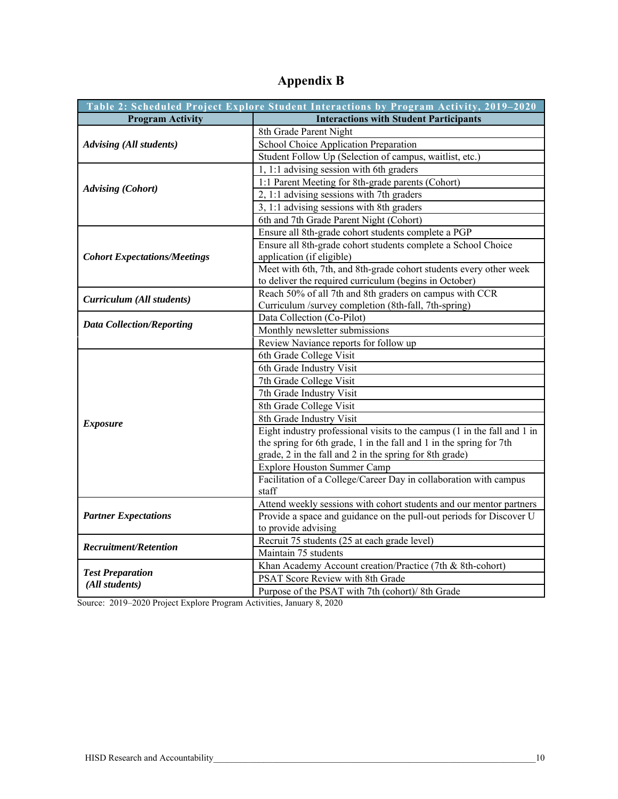|                                           | Table 2: Scheduled Project Explore Student Interactions by Program Activity, 2019-2020                                                                                                                     |
|-------------------------------------------|------------------------------------------------------------------------------------------------------------------------------------------------------------------------------------------------------------|
| <b>Program Activity</b>                   | <b>Interactions with Student Participants</b>                                                                                                                                                              |
|                                           | 8th Grade Parent Night                                                                                                                                                                                     |
| <b>Advising (All students)</b>            | <b>School Choice Application Preparation</b>                                                                                                                                                               |
|                                           | Student Follow Up (Selection of campus, waitlist, etc.)                                                                                                                                                    |
|                                           | 1, 1:1 advising session with 6th graders                                                                                                                                                                   |
|                                           | 1:1 Parent Meeting for 8th-grade parents (Cohort)                                                                                                                                                          |
| <b>Advising (Cohort)</b>                  | 2, 1:1 advising sessions with 7th graders                                                                                                                                                                  |
|                                           | 3, 1:1 advising sessions with 8th graders                                                                                                                                                                  |
|                                           | 6th and 7th Grade Parent Night (Cohort)                                                                                                                                                                    |
|                                           | Ensure all 8th-grade cohort students complete a PGP                                                                                                                                                        |
| <b>Cohort Expectations/Meetings</b>       | Ensure all 8th-grade cohort students complete a School Choice<br>application (if eligible)                                                                                                                 |
|                                           | Meet with 6th, 7th, and 8th-grade cohort students every other week<br>to deliver the required curriculum (begins in October)                                                                               |
| Curriculum (All students)                 | Reach 50% of all 7th and 8th graders on campus with CCR<br>Curriculum /survey completion (8th-fall, 7th-spring)                                                                                            |
|                                           | Data Collection (Co-Pilot)                                                                                                                                                                                 |
| <b>Data Collection/Reporting</b>          | Monthly newsletter submissions                                                                                                                                                                             |
|                                           | Review Naviance reports for follow up                                                                                                                                                                      |
|                                           | 6th Grade College Visit                                                                                                                                                                                    |
|                                           | 6th Grade Industry Visit                                                                                                                                                                                   |
|                                           | 7th Grade College Visit                                                                                                                                                                                    |
|                                           | 7th Grade Industry Visit                                                                                                                                                                                   |
|                                           | 8th Grade College Visit                                                                                                                                                                                    |
| <b>Exposure</b>                           | 8th Grade Industry Visit                                                                                                                                                                                   |
|                                           | Eight industry professional visits to the campus (1 in the fall and 1 in<br>the spring for 6th grade, 1 in the fall and 1 in the spring for 7th<br>grade, 2 in the fall and 2 in the spring for 8th grade) |
|                                           | Explore Houston Summer Camp                                                                                                                                                                                |
|                                           | Facilitation of a College/Career Day in collaboration with campus<br>staff                                                                                                                                 |
|                                           | Attend weekly sessions with cohort students and our mentor partners                                                                                                                                        |
| <b>Partner Expectations</b>               | Provide a space and guidance on the pull-out periods for Discover U<br>to provide advising                                                                                                                 |
|                                           | Recruit 75 students (25 at each grade level)                                                                                                                                                               |
| <b>Recruitment/Retention</b>              | Maintain 75 students                                                                                                                                                                                       |
|                                           | Khan Academy Account creation/Practice (7th & 8th-cohort)                                                                                                                                                  |
| <b>Test Preparation</b><br>(All students) | PSAT Score Review with 8th Grade                                                                                                                                                                           |
|                                           | Purpose of the PSAT with 7th (cohort)/8th Grade                                                                                                                                                            |

## **Appendix B**

Source: 2019–2020 Project Explore Program Activities, January 8, 2020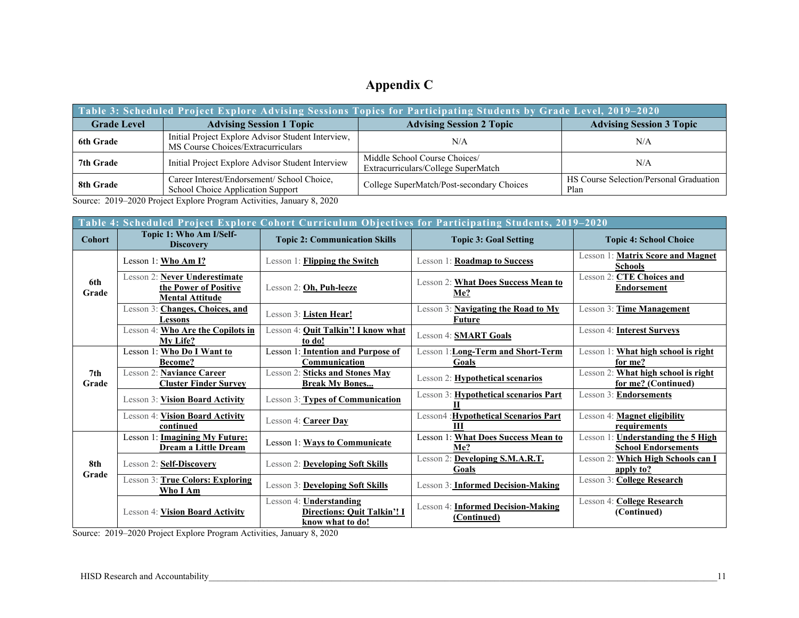## **Appendix C**

| Table 3: Scheduled Project Explore Advising Sessions Topics for Participating Students by Grade Level, 2019–2020 |                                                                                          |                                                                      |                                                 |  |  |  |  |  |
|------------------------------------------------------------------------------------------------------------------|------------------------------------------------------------------------------------------|----------------------------------------------------------------------|-------------------------------------------------|--|--|--|--|--|
| <b>Grade Level</b>                                                                                               | <b>Advising Session 1 Topic</b>                                                          | <b>Advising Session 2 Topic</b>                                      | <b>Advising Session 3 Topic</b>                 |  |  |  |  |  |
| <b>6th Grade</b>                                                                                                 | Initial Project Explore Advisor Student Interview,<br>MS Course Choices/Extracurriculars | N/A                                                                  | N/A                                             |  |  |  |  |  |
| 7th Grade                                                                                                        | Initial Project Explore Advisor Student Interview                                        | Middle School Course Choices/<br>Extracurriculars/College SuperMatch | N/A                                             |  |  |  |  |  |
| 8th Grade                                                                                                        | Career Interest/Endorsement/ School Choice,<br>School Choice Application Support         | College SuperMatch/Post-secondary Choices                            | HS Course Selection/Personal Graduation<br>Plan |  |  |  |  |  |

Source: 2019–2020 Project Explore Program Activities, January 8, 2020

|                          | Table 4: Scheduled Project Explore Cohort Curriculum Objectives for Participating Students, 2019-2020 |                                                                                      |                                                          |                                                                         |  |  |  |  |  |  |
|--------------------------|-------------------------------------------------------------------------------------------------------|--------------------------------------------------------------------------------------|----------------------------------------------------------|-------------------------------------------------------------------------|--|--|--|--|--|--|
| <b>Cohort</b>            | Topic 1: Who Am I/Self-<br><b>Discovery</b>                                                           | <b>Topic 2: Communication Skills</b>                                                 | <b>Topic 3: Goal Setting</b>                             | <b>Topic 4: School Choice</b>                                           |  |  |  |  |  |  |
|                          | Lesson 1: Who Am I?                                                                                   | Lesson 1: <b>Flipping the Switch</b>                                                 | Lesson 1: <b>Roadmap to Success</b>                      | Lesson 1: <b>Matrix Score and Magnet</b><br><b>Schools</b>              |  |  |  |  |  |  |
| 6th<br>Grade             | Lesson 2: Never Underestimate<br>the Power of Positive<br><b>Mental Attitude</b>                      | Lesson 2: Oh, Puh-leeze                                                              | Lesson 2: <b>What Does Success Mean to</b><br>Me?        | Lesson 2: CTE Choices and<br>Endorsement                                |  |  |  |  |  |  |
|                          | Lesson 3: Changes, Choices, and<br>Lessons                                                            | Lesson 3: Listen Hear!                                                               | Lesson 3: <b>Navigating the Road to My</b><br>Future     | Lesson 3: Time Management                                               |  |  |  |  |  |  |
|                          | Lesson 4: Who Are the Copilots in<br>My Life?                                                         | Lesson 4: <b>Quit Talkin'! I know what</b><br>to do!                                 | Lesson 4: <b>SMART Goals</b>                             | Lesson 4: Interest Surveys                                              |  |  |  |  |  |  |
|                          | Lesson 1: Who Do I Want to<br>Become?                                                                 | <b>Lesson 1: Intention and Purpose of</b><br>Communication                           | Lesson 1: <b>Long-Term and Short-Term</b><br>Goals       | Lesson 1: <b>What high school is right</b><br>for me?                   |  |  |  |  |  |  |
| 7 <sub>th</sub><br>Grade | Lesson 2: Naviance Career<br><b>Cluster Finder Survey</b>                                             | Lesson 2: Sticks and Stones May<br><b>Break My Bones</b>                             | Lesson 2: <b>Hypothetical scenarios</b>                  | Lesson 2: <b>What high school is right</b><br>for me? (Continued)       |  |  |  |  |  |  |
|                          | <b>Lesson 3: Vision Board Activity</b>                                                                | Lesson 3: Types of Communication                                                     | Lesson 3: Hypothetical scenarios Part                    | Lesson 3: <b>Endorsements</b>                                           |  |  |  |  |  |  |
|                          | <b>Lesson 4: Vision Board Activity</b><br>continued                                                   | Lesson 4: Career Day                                                                 | Lesson4 : Hypothetical Scenarios Part<br>ш               | Lesson 4: <b>Magnet eligibility</b><br>requirements                     |  |  |  |  |  |  |
|                          | Lesson 1: Imagining My Future:<br>Dream a Little Dream                                                | <b>Lesson 1: Ways to Communicate</b>                                                 | <b>Lesson 1: What Does Success Mean to</b><br>Me?        | Lesson 1: <b>Understanding the 5 High</b><br><b>School Endorsements</b> |  |  |  |  |  |  |
| 8th                      | Lesson 2: Self-Discovery                                                                              | <b>Lesson 2: Developing Soft Skills</b>                                              | Developing S.M.A.R.T.<br>Lesson 2:<br>Goals              | Lesson 2: Which High Schools can I<br>apply to?                         |  |  |  |  |  |  |
| Grade                    | Lesson 3: True Colors: Exploring<br>Who I Am                                                          | Lesson 3: Developing Soft Skills                                                     | Lesson 3: Informed Decision-Making                       | Lesson 3: College Research                                              |  |  |  |  |  |  |
|                          | <b>Lesson 4: Vision Board Activity</b>                                                                | <b>Understanding</b><br>Lesson 4:<br>Directions: Quit Talkin'! I<br>know what to do! | Lesson 4: <b>Informed Decision-Making</b><br>(Continued) | Lesson 4: <b>College Research</b><br>(Continued)                        |  |  |  |  |  |  |

Source: 2019–2020 Project Explore Program Activities, January 8, 2020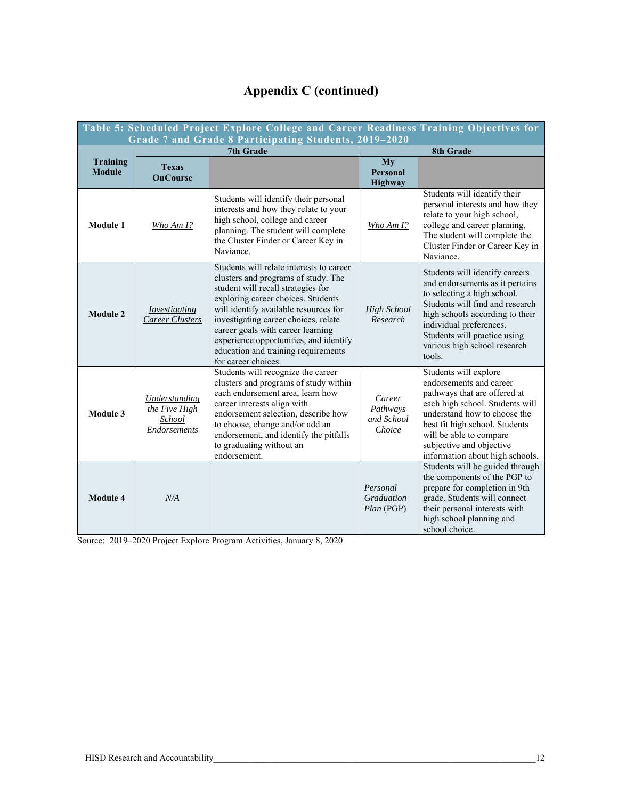## **Appendix C (continued)**

| Table 5: Scheduled Project Explore College and Career Readiness Training Objectives for |                                                                        |                                                                                                                                                                                                                                                                                                                                                                                           |                                             |                                                                                                                                                                                                                                                                                 |  |  |  |  |  |
|-----------------------------------------------------------------------------------------|------------------------------------------------------------------------|-------------------------------------------------------------------------------------------------------------------------------------------------------------------------------------------------------------------------------------------------------------------------------------------------------------------------------------------------------------------------------------------|---------------------------------------------|---------------------------------------------------------------------------------------------------------------------------------------------------------------------------------------------------------------------------------------------------------------------------------|--|--|--|--|--|
|                                                                                         |                                                                        | Grade 7 and Grade 8 Participating Students, 2019-2020                                                                                                                                                                                                                                                                                                                                     |                                             |                                                                                                                                                                                                                                                                                 |  |  |  |  |  |
| Training<br><b>Module</b>                                                               | <b>Texas</b><br><b>OnCourse</b>                                        | <b>7th Grade</b>                                                                                                                                                                                                                                                                                                                                                                          | My<br><b>Personal</b><br><b>Highway</b>     | 8th Grade                                                                                                                                                                                                                                                                       |  |  |  |  |  |
| Module 1                                                                                | Who Am $I$ ?                                                           | Students will identify their personal<br>interests and how they relate to your<br>high school, college and career<br>planning. The student will complete<br>the Cluster Finder or Career Key in<br>Naviance.                                                                                                                                                                              | Who Am 1?                                   | Students will identify their<br>personal interests and how they<br>relate to your high school,<br>college and career planning.<br>The student will complete the<br>Cluster Finder or Career Key in<br>Naviance.                                                                 |  |  |  |  |  |
| <b>Module 2</b>                                                                         | <i><u><b>Investigating</b></u></i><br><b>Career Clusters</b>           | Students will relate interests to career<br>clusters and programs of study. The<br>student will recall strategies for<br>exploring career choices. Students<br>will identify available resources for<br>investigating career choices, relate<br>career goals with career learning<br>experience opportunities, and identify<br>education and training requirements<br>for career choices. | <b>High School</b><br>Research              | Students will identify careers<br>and endorsements as it pertains<br>to selecting a high school.<br>Students will find and research<br>high schools according to their<br>individual preferences.<br>Students will practice using<br>various high school research<br>tools.     |  |  |  |  |  |
| Module 3                                                                                | <b>Understanding</b><br>the Five High<br>School<br><b>Endorsements</b> | Students will recognize the career<br>clusters and programs of study within<br>each endorsement area, learn how<br>career interests align with<br>endorsement selection, describe how<br>to choose, change and/or add an<br>endorsement, and identify the pitfalls<br>to graduating without an<br>endorsement.                                                                            | Career<br>Pathways<br>and School<br>Choice  | Students will explore<br>endorsements and career<br>pathways that are offered at<br>each high school. Students will<br>understand how to choose the<br>best fit high school. Students<br>will be able to compare<br>subjective and objective<br>information about high schools. |  |  |  |  |  |
| Module 4                                                                                | N/A                                                                    |                                                                                                                                                                                                                                                                                                                                                                                           | Personal<br><b>Graduation</b><br>Plan (PGP) | Students will be guided through<br>the components of the PGP to<br>prepare for completion in 9th<br>grade. Students will connect<br>their personal interests with<br>high school planning and<br>school choice.                                                                 |  |  |  |  |  |

Source: 2019–2020 Project Explore Program Activities, January 8, 2020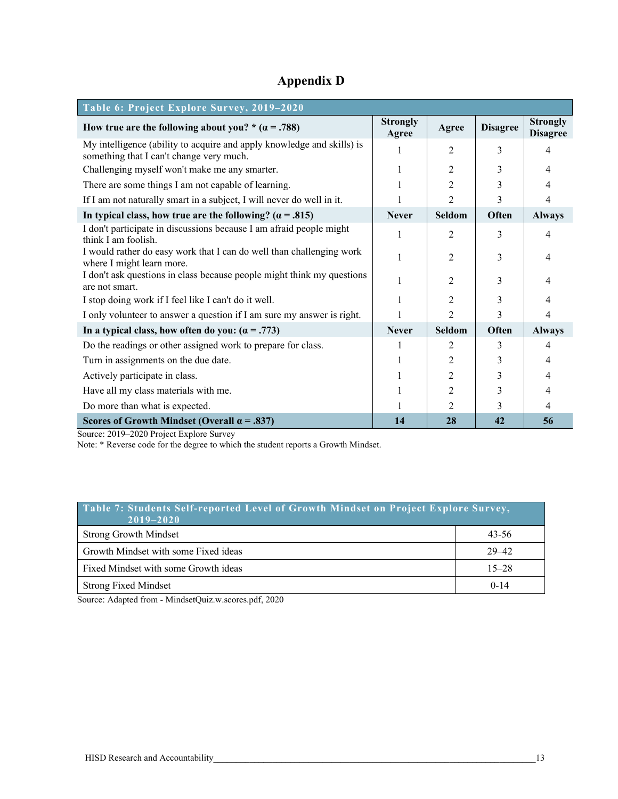## **Appendix D**

| Table 6: Project Explore Survey, 2019-2020                                                                         |                          |                |                 |                                    |
|--------------------------------------------------------------------------------------------------------------------|--------------------------|----------------|-----------------|------------------------------------|
| How true are the following about you? * $(a = .788)$                                                               | <b>Strongly</b><br>Agree | Agree          | <b>Disagree</b> | <b>Strongly</b><br><b>Disagree</b> |
| My intelligence (ability to acquire and apply knowledge and skills) is<br>something that I can't change very much. |                          | $\overline{2}$ | 3               | 4                                  |
| Challenging myself won't make me any smarter.                                                                      |                          | $\overline{2}$ | 3               | 4                                  |
| There are some things I am not capable of learning.                                                                |                          | $\overline{2}$ | 3               | 4                                  |
| If I am not naturally smart in a subject, I will never do well in it.                                              |                          | $\overline{2}$ | 3               | 4                                  |
| In typical class, how true are the following? ( $\alpha$ = .815)                                                   | <b>Never</b>             | Seldom         | Often           | <b>Always</b>                      |
| I don't participate in discussions because I am afraid people might<br>think I am foolish.                         | 1                        | $\overline{2}$ | 3               | 4                                  |
| I would rather do easy work that I can do well than challenging work<br>where I might learn more.                  |                          | $\overline{2}$ | 3               | 4                                  |
| I don't ask questions in class because people might think my questions<br>are not smart.                           |                          | $\overline{2}$ | 3               | 4                                  |
| I stop doing work if I feel like I can't do it well.                                                               |                          | $\overline{2}$ | 3               | 4                                  |
| I only volunteer to answer a question if I am sure my answer is right.                                             |                          | $\overline{2}$ | 3               | 4                                  |
| In a typical class, how often do you: $(a = .773)$                                                                 | <b>Never</b>             | <b>Seldom</b>  | Often           | <b>Always</b>                      |
| Do the readings or other assigned work to prepare for class.                                                       | 1                        | 2              | 3               | 4                                  |
| Turn in assignments on the due date.                                                                               |                          | 2              |                 | 4                                  |
| Actively participate in class.                                                                                     |                          | $\overline{c}$ | 3               | 4                                  |
| Have all my class materials with me.                                                                               |                          | 2              | 3               | 4                                  |
| Do more than what is expected.                                                                                     |                          | 2              | 3               | 4                                  |
| Scores of Growth Mindset (Overall $\alpha$ = .837)                                                                 | 14                       | 28             | 42              | 56                                 |

Source: 2019–2020 Project Explore Survey

Note: \* Reverse code for the degree to which the student reports a Growth Mindset.

| Table 7: Students Self-reported Level of Growth Mindset on Project Explore Survey,<br>$2019 - 2020$ |           |
|-----------------------------------------------------------------------------------------------------|-----------|
| <b>Strong Growth Mindset</b>                                                                        | 43-56     |
| Growth Mindset with some Fixed ideas                                                                | $29 - 42$ |
| Fixed Mindset with some Growth ideas                                                                | $15 - 28$ |
| <b>Strong Fixed Mindset</b>                                                                         | $0 - 14$  |

Source: Adapted from - MindsetQuiz.w.scores.pdf, 2020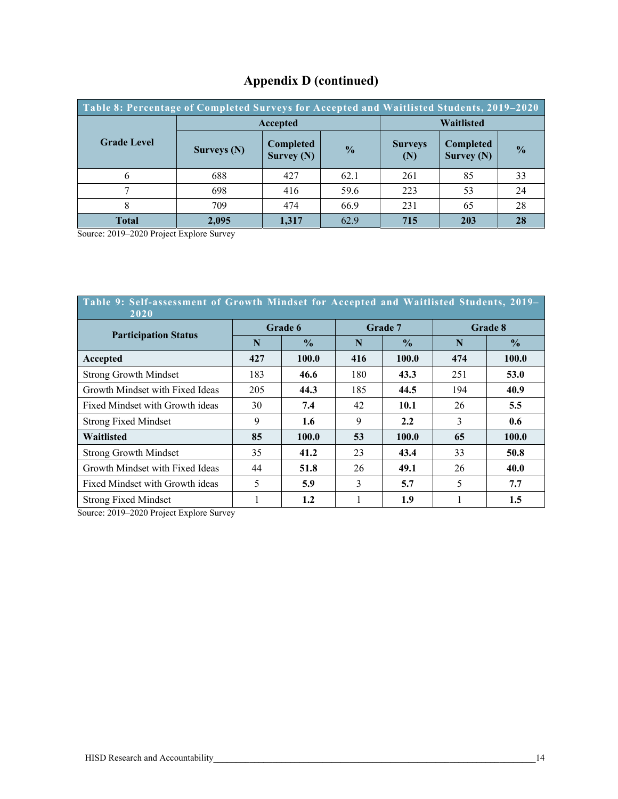| Table 8: Percentage of Completed Surveys for Accepted and Waitlisted Students, 2019–2020 |             |                           |      |                       |                                  |               |  |  |  |
|------------------------------------------------------------------------------------------|-------------|---------------------------|------|-----------------------|----------------------------------|---------------|--|--|--|
|                                                                                          | Accepted    | <b>Waitlisted</b>         |      |                       |                                  |               |  |  |  |
| <b>Grade Level</b>                                                                       | Surveys (N) | Completed<br>Survey $(N)$ |      | <b>Surveys</b><br>(N) | <b>Completed</b><br>Survey $(N)$ | $\frac{1}{2}$ |  |  |  |
|                                                                                          | 688         | 427                       | 62.1 | 261                   | 85                               | 33            |  |  |  |
|                                                                                          | 698         | 416                       | 59.6 | 223                   | 53                               | 24            |  |  |  |
|                                                                                          | 709         | 474                       | 66.9 | 231                   | 65                               | 28            |  |  |  |
| <b>Total</b>                                                                             | 2.095       | 1.317                     | 62.9 | 715                   | 203                              | 28            |  |  |  |

## **Appendix D (continued)**

Source: 2019–2020 Project Explore Survey

| Table 9: Self-assessment of Growth Mindset for Accepted and Waitlisted Students, 2019-<br>2020 |         |               |     |               |         |               |  |  |  |
|------------------------------------------------------------------------------------------------|---------|---------------|-----|---------------|---------|---------------|--|--|--|
|                                                                                                | Grade 6 |               |     | Grade 7       | Grade 8 |               |  |  |  |
| <b>Participation Status</b>                                                                    | N       | $\frac{0}{0}$ | N   | $\frac{0}{0}$ | N       | $\frac{6}{9}$ |  |  |  |
| Accepted                                                                                       | 427     | 100.0         | 416 | 100.0         | 474     | 100.0         |  |  |  |
| <b>Strong Growth Mindset</b>                                                                   | 183     | 46.6          | 180 | 43.3          | 251     | 53.0          |  |  |  |
| Growth Mindset with Fixed Ideas                                                                | 205     | 44.3          | 185 | 44.5          | 194     | 40.9          |  |  |  |
| Fixed Mindset with Growth ideas                                                                | 30      | 7.4           | 42  | <b>10.1</b>   | 26      | 5.5           |  |  |  |
| <b>Strong Fixed Mindset</b>                                                                    | 9       | 1.6           | 9   | 2.2           | 3       | 0.6           |  |  |  |
| Waitlisted                                                                                     | 85      | 100.0         | 53  | 100.0         | 65      | 100.0         |  |  |  |
| <b>Strong Growth Mindset</b>                                                                   | 35      | 41.2          | 23  | 43.4          | 33      | 50.8          |  |  |  |
| Growth Mindset with Fixed Ideas                                                                | 44      | 51.8          | 26  | 49.1          | 26      | 40.0          |  |  |  |
| Fixed Mindset with Growth ideas                                                                | 5       | 5.9           | 3   | 5.7           | 5       | 7.7           |  |  |  |
| <b>Strong Fixed Mindset</b>                                                                    |         | 1.2           |     | 1.9           |         | 1.5           |  |  |  |

Source: 2019–2020 Project Explore Survey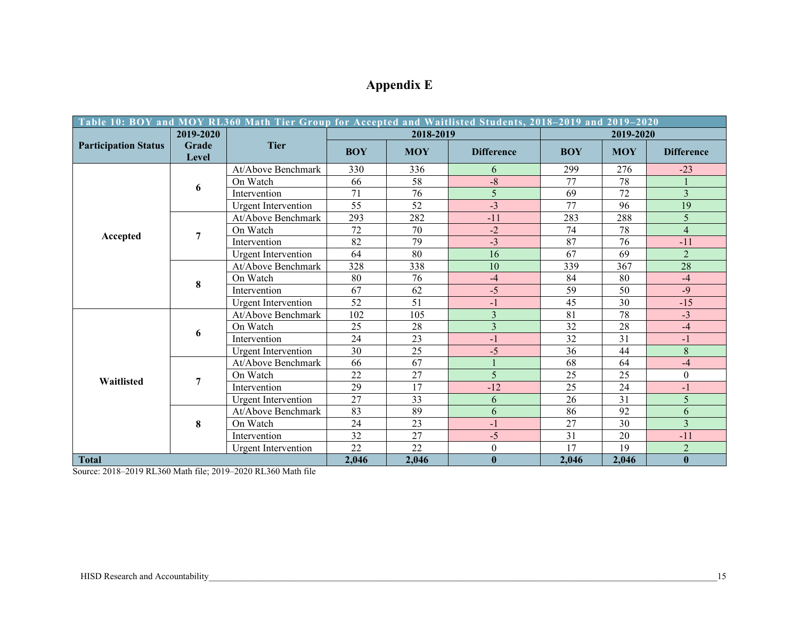|                             | Table 10: BOY and MOY RL360 Math Tier Group for Accepted and Waitlisted Students, 2018–2019 and 2019–2020 |                            |                 |            |                   |            |            |                   |
|-----------------------------|-----------------------------------------------------------------------------------------------------------|----------------------------|-----------------|------------|-------------------|------------|------------|-------------------|
|                             | 2019-2020                                                                                                 |                            |                 | 2018-2019  |                   |            | 2019-2020  |                   |
| <b>Participation Status</b> | Grade<br>Level                                                                                            | <b>Tier</b>                | <b>BOY</b>      | <b>MOY</b> | <b>Difference</b> | <b>BOY</b> | <b>MOY</b> | <b>Difference</b> |
|                             |                                                                                                           | At/Above Benchmark         | 330             | 336        | 6                 | 299        | 276        | $-23$             |
|                             | 6                                                                                                         | On Watch                   | 66              | 58         | $-8$              | 77         | 78         |                   |
|                             |                                                                                                           | Intervention               | 71              | 76         | 5                 | 69         | 72         | $\overline{3}$    |
|                             |                                                                                                           | <b>Urgent Intervention</b> | 55              | 52         | $-3$              | 77         | 96         | 19                |
|                             |                                                                                                           | At/Above Benchmark         | 293             | 282        | $-11$             | 283        | 288        | 5                 |
|                             | 7                                                                                                         | On Watch                   | 72              | 70         | $-2$              | 74         | 78         | $\overline{4}$    |
| Accepted                    |                                                                                                           | Intervention               | 82              | 79         | $-3$              | 87         | 76         | $-11$             |
|                             |                                                                                                           | <b>Urgent Intervention</b> | 64              | 80         | 16                | 67         | 69         | 2                 |
|                             |                                                                                                           | At/Above Benchmark         | 328             | 338        | 10                | 339        | 367        | 28                |
|                             | 8                                                                                                         | On Watch                   | 80              | 76         | $-4$              | 84         | 80         | $-4$              |
|                             |                                                                                                           | Intervention               | 67              | 62         | $-5$              | 59         | 50         | $-9$              |
|                             |                                                                                                           | <b>Urgent Intervention</b> | 52              | 51         | $-1$              | 45         | 30         | $-15$             |
|                             |                                                                                                           | At/Above Benchmark         | 102             | 105        | $\overline{3}$    | 81         | 78         | $-3$              |
|                             | 6                                                                                                         | On Watch                   | 25              | 28         | $\overline{3}$    | 32         | 28         | $-4$              |
|                             |                                                                                                           | Intervention               | 24              | 23         | $-1$              | 32         | 31         | $-1$              |
|                             |                                                                                                           | <b>Urgent Intervention</b> | 30              | 25         | $-5$              | 36         | 44         | 8                 |
|                             |                                                                                                           | At/Above Benchmark         | 66              | 67         |                   | 68         | 64         | $-4$              |
| Waitlisted                  | 7                                                                                                         | On Watch                   | 22              | 27         | 5                 | 25         | 25         | $\mathbf{0}$      |
|                             |                                                                                                           | Intervention               | 29              | 17         | $-12$             | 25         | 24         | $-1$              |
|                             |                                                                                                           | <b>Urgent Intervention</b> | $\overline{27}$ | 33         | 6                 | 26         | 31         | 5                 |
|                             |                                                                                                           | At/Above Benchmark         | 83              | 89         | 6                 | 86         | 92         | 6                 |
|                             | 8                                                                                                         | On Watch                   | 24              | 23         | $-1$              | 27         | 30         | $\overline{3}$    |
|                             |                                                                                                           | Intervention               | 32              | 27         | $-5$              | 31         | 20         | $-11$             |
|                             |                                                                                                           | <b>Urgent Intervention</b> | 22              | 22         | $\boldsymbol{0}$  | 17         | 19         | $\overline{2}$    |
| <b>Total</b>                |                                                                                                           |                            | 2,046           | 2,046      | $\bf{0}$          | 2,046      | 2,046      | $\bf{0}$          |

## **Appendix E**

Source: 2018–2019 RL360 Math file; 2019–2020 RL360 Math file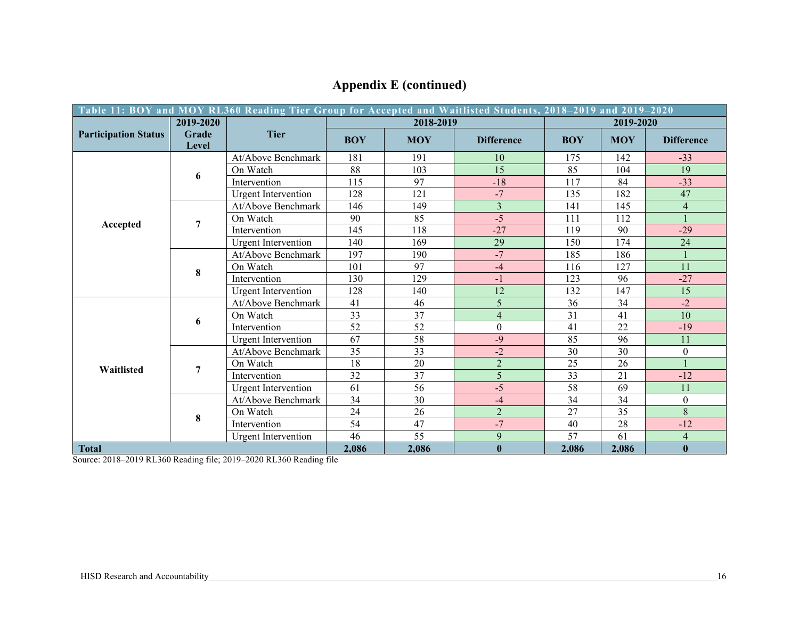| Table 11: BOY and MOY RL360 Reading Tier Group for Accepted and Waitlisted Students, 2018–2019 and 2019–2020 |                |                            |            |            |                   |            |            |                         |
|--------------------------------------------------------------------------------------------------------------|----------------|----------------------------|------------|------------|-------------------|------------|------------|-------------------------|
|                                                                                                              | 2019-2020      |                            |            | 2018-2019  |                   | 2019-2020  |            |                         |
| <b>Participation Status</b>                                                                                  | Grade<br>Level | <b>Tier</b>                | <b>BOY</b> | <b>MOY</b> | <b>Difference</b> | <b>BOY</b> | <b>MOY</b> | <b>Difference</b>       |
|                                                                                                              |                | At/Above Benchmark         | 181        | 191        | 10                | 175        | 142        | $-33$                   |
|                                                                                                              | 6              | On Watch                   | 88         | 103        | 15                | 85         | 104        | 19                      |
|                                                                                                              |                | Intervention               | 115        | 97         | $-18$             | 117        | 84         | $-33$                   |
|                                                                                                              |                | <b>Urgent Intervention</b> | 128        | 121        | $-7$              | 135        | 182        | 47                      |
|                                                                                                              |                | At/Above Benchmark         | 146        | 149        | $\overline{3}$    | 141        | 145        | $\overline{\mathbf{4}}$ |
|                                                                                                              | 7              | On Watch                   | 90         | 85         | $-5$              | 111        | 112        |                         |
| Accepted                                                                                                     |                | Intervention               | 145        | 118        | $-27$             | 119        | 90         | $-29$                   |
|                                                                                                              |                | <b>Urgent</b> Intervention | 140        | 169        | 29                | 150        | 174        | 24                      |
|                                                                                                              |                | At/Above Benchmark         | 197        | 190        | $-7$              | 185        | 186        |                         |
|                                                                                                              | 8              | On Watch                   | 101        | 97         | $-4$              | 116        | 127        | 11                      |
|                                                                                                              |                | Intervention               | 130        | 129        | $-1$              | 123        | 96         | $-27$                   |
|                                                                                                              |                | <b>Urgent Intervention</b> | 128        | 140        | 12                | 132        | 147        | 15                      |
| Waitlisted                                                                                                   | 6              | At/Above Benchmark         | 41         | 46         | 5                 | 36         | 34         | $-2$                    |
|                                                                                                              |                | On Watch                   | 33         | 37         | $\overline{4}$    | 31         | 41         | 10                      |
|                                                                                                              |                | Intervention               | 52         | 52         | $\boldsymbol{0}$  | 41         | 22         | $-19$                   |
|                                                                                                              |                | <b>Urgent Intervention</b> | 67         | 58         | $-9$              | 85         | 96         | 11                      |
|                                                                                                              | 7              | At/Above Benchmark         | 35         | 33         | $-2$              | 30         | 30         | $\overline{0}$          |
|                                                                                                              |                | On Watch                   | 18         | 20         | $\overline{2}$    | 25         | 26         |                         |
|                                                                                                              |                | Intervention               | 32         | 37         | 5                 | 33         | 21         | $-12$                   |
|                                                                                                              |                | <b>Urgent Intervention</b> | 61         | 56         | $-5$              | 58         | 69         | 11                      |
|                                                                                                              | 8              | At/Above Benchmark         | 34         | 30         | $-4$              | 34         | 34         | $\boldsymbol{0}$        |
|                                                                                                              |                | On Watch                   | 24         | 26         | $\overline{2}$    | 27         | 35         | 8                       |
|                                                                                                              |                | Intervention               | 54         | 47         | $-7$              | 40         | 28         | $-12$                   |
|                                                                                                              |                | <b>Urgent Intervention</b> | 46         | 55         | 9                 | 57         | 61         | $\overline{4}$          |
| <b>Total</b>                                                                                                 |                |                            | 2,086      | 2,086      | $\mathbf{0}$      | 2,086      | 2,086      | $\bf{0}$                |

## **Appendix E (continued)**

Source: 2018–2019 RL360 Reading file; 2019–2020 RL360 Reading file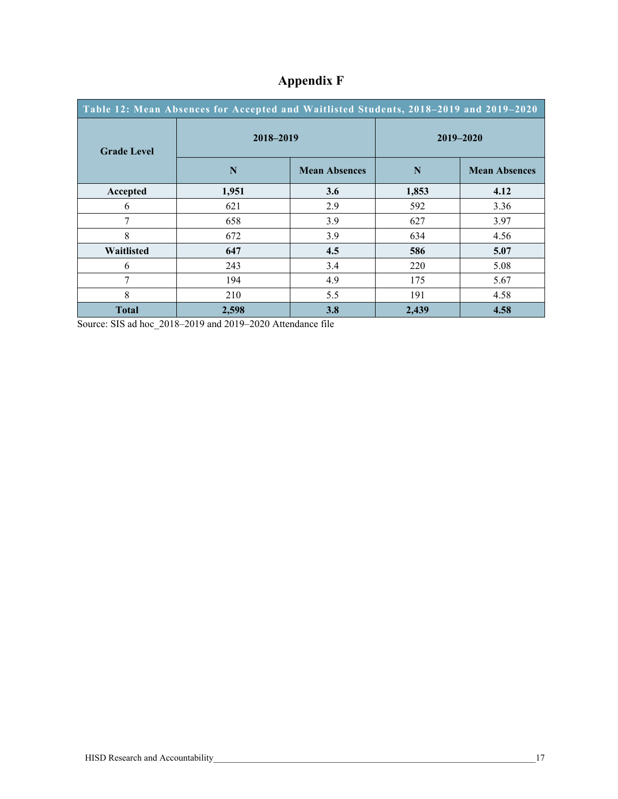| Table 12: Mean Absences for Accepted and Waitlisted Students, 2018-2019 and 2019-2020 |              |                      |           |                      |  |  |  |
|---------------------------------------------------------------------------------------|--------------|----------------------|-----------|----------------------|--|--|--|
| <b>Grade Level</b>                                                                    | 2018-2019    |                      | 2019-2020 |                      |  |  |  |
|                                                                                       | N            | <b>Mean Absences</b> | N         | <b>Mean Absences</b> |  |  |  |
| Accepted                                                                              | 1,951        | 3.6                  | 1,853     | 4.12                 |  |  |  |
| 6                                                                                     | 621          | 2.9                  | 592       | 3.36                 |  |  |  |
| 7                                                                                     | 658          | 3.9                  | 627       | 3.97                 |  |  |  |
| 8                                                                                     | 672          | 3.9                  | 634       | 4.56                 |  |  |  |
| Waitlisted                                                                            | 647          | 4.5                  | 586       | 5.07                 |  |  |  |
| 6                                                                                     | 243          | 3.4                  | 220       | 5.08                 |  |  |  |
| 7                                                                                     | 194          | 4.9                  | 175       | 5.67                 |  |  |  |
| 8                                                                                     | 210          | 5.5                  | 191       | 4.58                 |  |  |  |
| <b>Total</b>                                                                          | 3.8<br>2,598 |                      | 2,439     | 4.58                 |  |  |  |

## **Appendix F**

Source: SIS ad hoc\_2018–2019 and 2019–2020 Attendance file